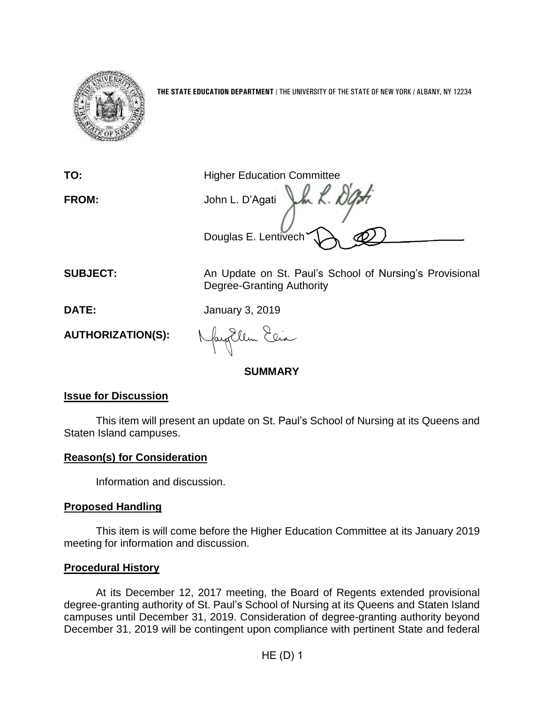

**THE STATE EDUCATION DEPARTMENT** / THE UNIVERSITY OF THE STATE OF NEW YORK / ALBANY, NY 12234

**TO:** Higher Education Committee **FROM:** John L. D'Agati Douglas E. Lentivech

**SUBJECT:** An Update on St. Paul's School of Nursing's Provisional Degree-Granting Authority

**DATE:** January 3, 2019

**AUTHORIZATION(S):**

fangellen Elia

**SUMMARY**

# **Issue for Discussion**

This item will present an update on St. Paul's School of Nursing at its Queens and Staten Island campuses.

# **Reason(s) for Consideration**

Information and discussion.

# **Proposed Handling**

This item is will come before the Higher Education Committee at its January 2019 meeting for information and discussion.

# **Procedural History**

At its December 12, 2017 meeting, the Board of Regents extended provisional degree-granting authority of St. Paul's School of Nursing at its Queens and Staten Island campuses until December 31, 2019. Consideration of degree-granting authority beyond December 31, 2019 will be contingent upon compliance with pertinent State and federal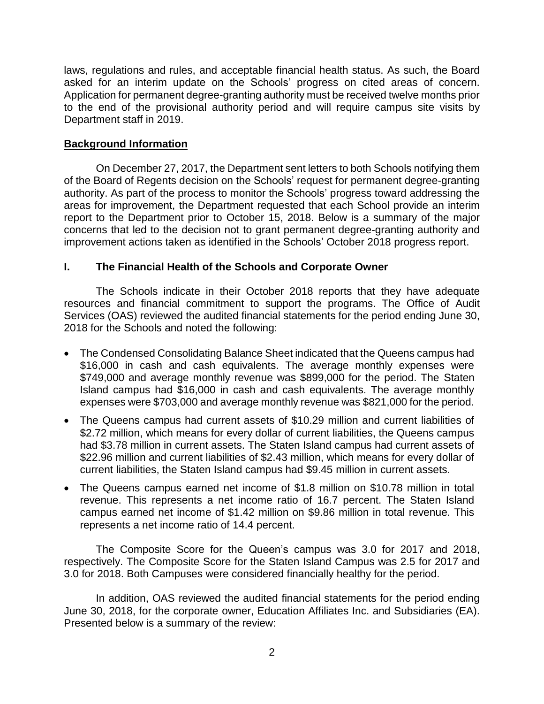laws, regulations and rules, and acceptable financial health status. As such, the Board asked for an interim update on the Schools' progress on cited areas of concern. Application for permanent degree-granting authority must be received twelve months prior to the end of the provisional authority period and will require campus site visits by Department staff in 2019.

## **Background Information**

On December 27, 2017, the Department sent letters to both Schools notifying them of the Board of Regents decision on the Schools' request for permanent degree-granting authority. As part of the process to monitor the Schools' progress toward addressing the areas for improvement, the Department requested that each School provide an interim report to the Department prior to October 15, 2018. Below is a summary of the major concerns that led to the decision not to grant permanent degree-granting authority and improvement actions taken as identified in the Schools' October 2018 progress report.

### **I. The Financial Health of the Schools and Corporate Owner**

The Schools indicate in their October 2018 reports that they have adequate resources and financial commitment to support the programs. The Office of Audit Services (OAS) reviewed the audited financial statements for the period ending June 30, 2018 for the Schools and noted the following:

- The Condensed Consolidating Balance Sheet indicated that the Queens campus had \$16,000 in cash and cash equivalents. The average monthly expenses were \$749,000 and average monthly revenue was \$899,000 for the period. The Staten Island campus had \$16,000 in cash and cash equivalents. The average monthly expenses were \$703,000 and average monthly revenue was \$821,000 for the period.
- The Queens campus had current assets of \$10.29 million and current liabilities of \$2.72 million, which means for every dollar of current liabilities, the Queens campus had \$3.78 million in current assets. The Staten Island campus had current assets of \$22.96 million and current liabilities of \$2.43 million, which means for every dollar of current liabilities, the Staten Island campus had \$9.45 million in current assets.
- The Queens campus earned net income of \$1.8 million on \$10.78 million in total revenue. This represents a net income ratio of 16.7 percent. The Staten Island campus earned net income of \$1.42 million on \$9.86 million in total revenue. This represents a net income ratio of 14.4 percent.

The Composite Score for the Queen's campus was 3.0 for 2017 and 2018, respectively. The Composite Score for the Staten Island Campus was 2.5 for 2017 and 3.0 for 2018. Both Campuses were considered financially healthy for the period.

In addition, OAS reviewed the audited financial statements for the period ending June 30, 2018, for the corporate owner, Education Affiliates Inc. and Subsidiaries (EA). Presented below is a summary of the review: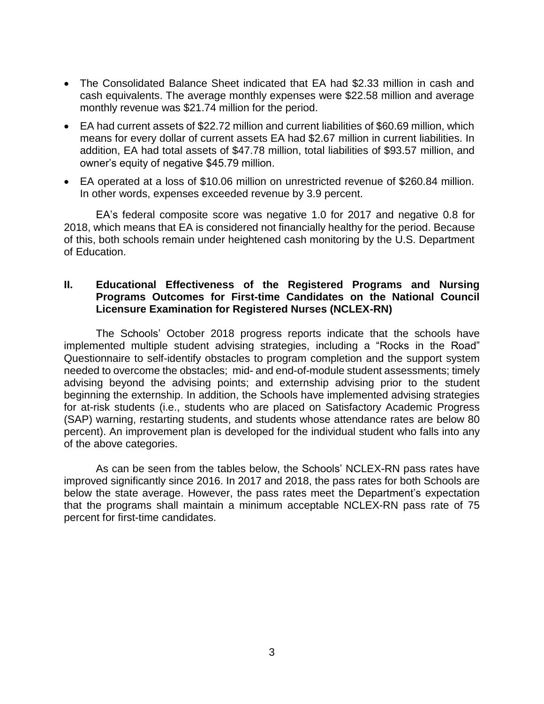- The Consolidated Balance Sheet indicated that EA had \$2.33 million in cash and cash equivalents. The average monthly expenses were \$22.58 million and average monthly revenue was \$21.74 million for the period.
- EA had current assets of \$22.72 million and current liabilities of \$60.69 million, which means for every dollar of current assets EA had \$2.67 million in current liabilities. In addition, EA had total assets of \$47.78 million, total liabilities of \$93.57 million, and owner's equity of negative \$45.79 million.
- EA operated at a loss of \$10.06 million on unrestricted revenue of \$260.84 million. In other words, expenses exceeded revenue by 3.9 percent.

EA's federal composite score was negative 1.0 for 2017 and negative 0.8 for 2018, which means that EA is considered not financially healthy for the period. Because of this, both schools remain under heightened cash monitoring by the U.S. Department of Education.

### **II. Educational Effectiveness of the Registered Programs and Nursing Programs Outcomes for First-time Candidates on the National Council Licensure Examination for Registered Nurses (NCLEX-RN)**

The Schools' October 2018 progress reports indicate that the schools have implemented multiple student advising strategies, including a "Rocks in the Road" Questionnaire to self-identify obstacles to program completion and the support system needed to overcome the obstacles; mid- and end-of-module student assessments; timely advising beyond the advising points; and externship advising prior to the student beginning the externship. In addition, the Schools have implemented advising strategies for at-risk students (i.e., students who are placed on Satisfactory Academic Progress (SAP) warning, restarting students, and students whose attendance rates are below 80 percent). An improvement plan is developed for the individual student who falls into any of the above categories.

As can be seen from the tables below, the Schools' NCLEX-RN pass rates have improved significantly since 2016. In 2017 and 2018, the pass rates for both Schools are below the state average. However, the pass rates meet the Department's expectation that the programs shall maintain a minimum acceptable NCLEX-RN pass rate of 75 percent for first-time candidates.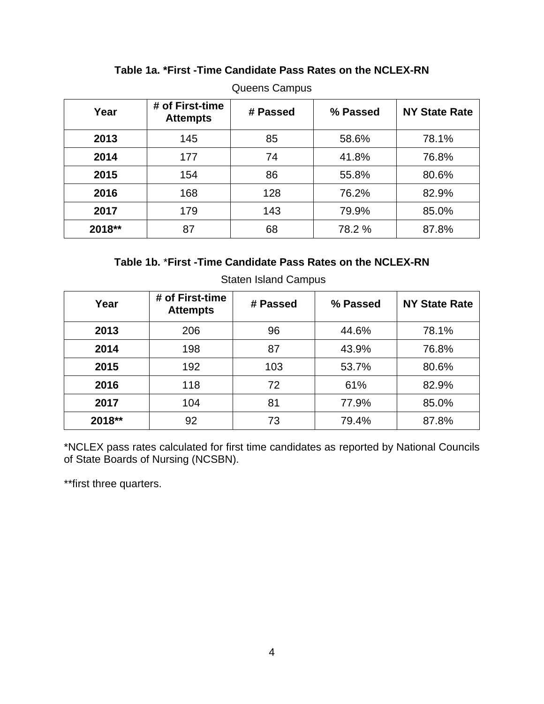| Year   | # of First-time<br><b>Attempts</b> | # Passed | % Passed | <b>NY State Rate</b> |
|--------|------------------------------------|----------|----------|----------------------|
| 2013   | 145                                | 85       | 58.6%    | 78.1%                |
| 2014   | 177                                | 74       | 41.8%    | 76.8%                |
| 2015   | 154                                | 86       | 55.8%    | 80.6%                |
| 2016   | 168                                | 128      | 76.2%    | 82.9%                |
| 2017   | 179                                | 143      | 79.9%    | 85.0%                |
| 2018** | 87                                 | 68       | 78.2 %   | 87.8%                |

## **Table 1a. \*First -Time Candidate Pass Rates on the NCLEX-RN**

Queens Campus

## **Table 1b.** \***First -Time Candidate Pass Rates on the NCLEX-RN**

| Year   | # of First-time<br><b>Attempts</b> | # Passed | % Passed | <b>NY State Rate</b> |
|--------|------------------------------------|----------|----------|----------------------|
| 2013   | 206                                | 96       | 44.6%    | 78.1%                |
| 2014   | 198                                | 87       | 43.9%    | 76.8%                |
| 2015   | 192                                | 103      | 53.7%    | 80.6%                |
| 2016   | 118                                | 72       | 61%      | 82.9%                |
| 2017   | 104                                | 81       | 77.9%    | 85.0%                |
| 2018** | 92                                 | 73       | 79.4%    | 87.8%                |

Staten Island Campus

\*NCLEX pass rates calculated for first time candidates as reported by National Councils of State Boards of Nursing (NCSBN).

\*\*first three quarters.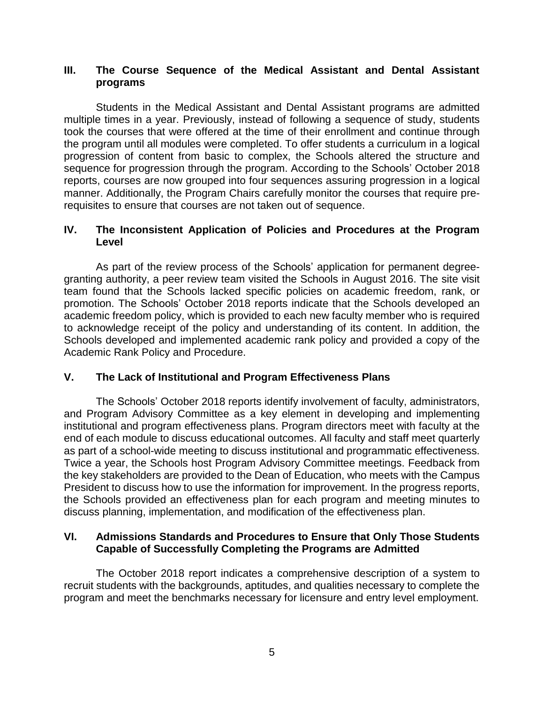### **III. The Course Sequence of the Medical Assistant and Dental Assistant programs**

Students in the Medical Assistant and Dental Assistant programs are admitted multiple times in a year. Previously, instead of following a sequence of study, students took the courses that were offered at the time of their enrollment and continue through the program until all modules were completed. To offer students a curriculum in a logical progression of content from basic to complex, the Schools altered the structure and sequence for progression through the program. According to the Schools' October 2018 reports, courses are now grouped into four sequences assuring progression in a logical manner. Additionally, the Program Chairs carefully monitor the courses that require prerequisites to ensure that courses are not taken out of sequence.

### **IV. The Inconsistent Application of Policies and Procedures at the Program Level**

As part of the review process of the Schools' application for permanent degreegranting authority, a peer review team visited the Schools in August 2016. The site visit team found that the Schools lacked specific policies on academic freedom, rank, or promotion. The Schools' October 2018 reports indicate that the Schools developed an academic freedom policy, which is provided to each new faculty member who is required to acknowledge receipt of the policy and understanding of its content. In addition, the Schools developed and implemented academic rank policy and provided a copy of the Academic Rank Policy and Procedure.

### **V. The Lack of Institutional and Program Effectiveness Plans**

The Schools' October 2018 reports identify involvement of faculty, administrators, and Program Advisory Committee as a key element in developing and implementing institutional and program effectiveness plans. Program directors meet with faculty at the end of each module to discuss educational outcomes. All faculty and staff meet quarterly as part of a school-wide meeting to discuss institutional and programmatic effectiveness. Twice a year, the Schools host Program Advisory Committee meetings. Feedback from the key stakeholders are provided to the Dean of Education, who meets with the Campus President to discuss how to use the information for improvement. In the progress reports, the Schools provided an effectiveness plan for each program and meeting minutes to discuss planning, implementation, and modification of the effectiveness plan.

### **VI. Admissions Standards and Procedures to Ensure that Only Those Students Capable of Successfully Completing the Programs are Admitted**

The October 2018 report indicates a comprehensive description of a system to recruit students with the backgrounds, aptitudes, and qualities necessary to complete the program and meet the benchmarks necessary for licensure and entry level employment.